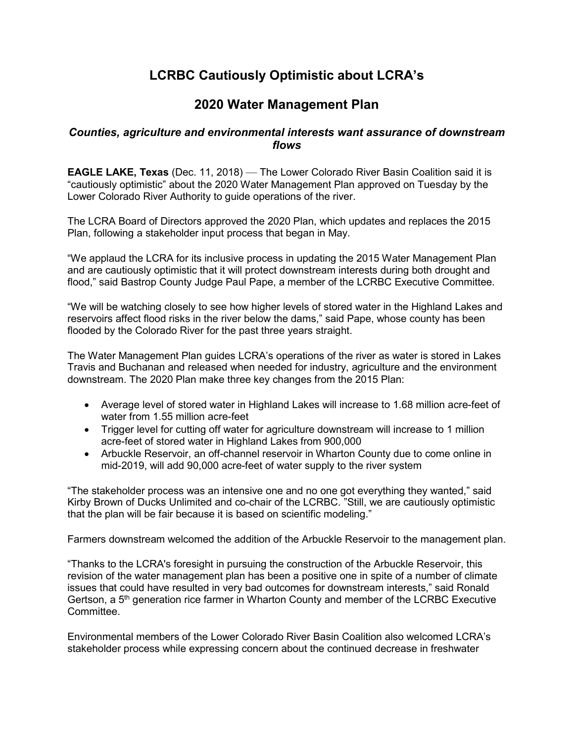## **LCRBC Cautiously Optimistic about LCRA's**

## **2020 Water Management Plan**

## *Counties, agriculture and environmental interests want assurance of downstream flows*

**EAGLE LAKE, Texas** (Dec. 11, 2018) — The Lower Colorado River Basin Coalition said it is "cautiously optimistic" about the 2020 Water Management Plan approved on Tuesday by the Lower Colorado River Authority to guide operations of the river.

The LCRA Board of Directors approved the 2020 Plan, which updates and replaces the 2015 Plan, following a stakeholder input process that began in May.

"We applaud the LCRA for its inclusive process in updating the 2015 Water Management Plan and are cautiously optimistic that it will protect downstream interests during both drought and flood," said Bastrop County Judge Paul Pape, a member of the LCRBC Executive Committee.

"We will be watching closely to see how higher levels of stored water in the Highland Lakes and reservoirs affect flood risks in the river below the dams," said Pape, whose county has been flooded by the Colorado River for the past three years straight.

The Water Management Plan guides LCRA's operations of the river as water is stored in Lakes Travis and Buchanan and released when needed for industry, agriculture and the environment downstream. The 2020 Plan make three key changes from the 2015 Plan:

- Average level of stored water in Highland Lakes will increase to 1.68 million acre-feet of water from 1.55 million acre-feet
- Trigger level for cutting off water for agriculture downstream will increase to 1 million acre-feet of stored water in Highland Lakes from 900,000
- Arbuckle Reservoir, an off-channel reservoir in Wharton County due to come online in mid-2019, will add 90,000 acre-feet of water supply to the river system

"The stakeholder process was an intensive one and no one got everything they wanted," said Kirby Brown of Ducks Unlimited and co-chair of the LCRBC. "Still, we are cautiously optimistic that the plan will be fair because it is based on scientific modeling."

Farmers downstream welcomed the addition of the Arbuckle Reservoir to the management plan.

"Thanks to the LCRA's foresight in pursuing the construction of the Arbuckle Reservoir, this revision of the water management plan has been a positive one in spite of a number of climate issues that could have resulted in very bad outcomes for downstream interests," said Ronald Gertson, a 5<sup>th</sup> generation rice farmer in Wharton County and member of the LCRBC Executive **Committee** 

Environmental members of the Lower Colorado River Basin Coalition also welcomed LCRA's stakeholder process while expressing concern about the continued decrease in freshwater